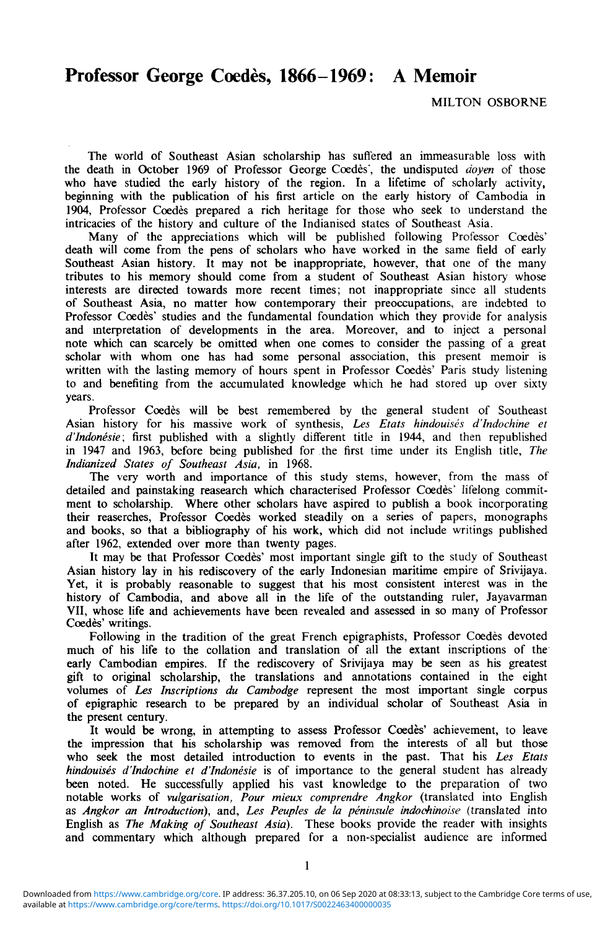## Professor George Coedes, 1866-1969: A Memoir

MILTON OSBORNE

The world of Southeast Asian scholarship has suffered an immeasurable loss with the death in October 1969 of Professor George Coedes", the undisputed *doyen* of those who have studied the early history of the region. In a lifetime of scholarly activity, beginning with the publication of his first article on the early history of Cambodia in 1904, Professor Coedes prepared a rich heritage for those who seek to understand the intricacies of the history and culture of the Indianised states of Southeast Asia.

Many of the appreciations which will be published following Professor Coedes' death will come from the pens of scholars who have worked in the same field of early Southeast Asian history. It may not be inappropriate, however, that one of the many tributes to his memory should come from a student of Southeast Asian history whose interests are directed towards more recent times; not inappropriate since all students of Southeast Asia, no matter how contemporary their preoccupations, are indebted to Professor Coedes' studies and the fundamental foundation which they provide for analysis and interpretation of developments in the area. Moreover, and to inject a personal note which can scarcely be omitted when one comes to consider the passing of a great scholar with whom one has had some personal association, this present memoir is written with the lasting memory of hours spent in Professor Coedes' Paris study listening to and benefiting from the accumulated knowledge which he had stored up over sixty years.

Professor Coedès will be best remembered by the general student of Southeast Asian history for his massive work of synthesis, *Les Etats hindouises d'Indochine et d'Indonesie;* first published with a slightly different title in 1944, and then republished in 1947 and 1963, before being published for the first time under its English title, *The Indianized States of Southeast Asia,* in 1968.

The very worth and importance of this study stems, however, from the mass of detailed and painstaking reasearch which characterised Professor Coedes' lifelong commitment to scholarship. Where other scholars have aspired to publish a book incorporating their reaserches, Professor Coedes worked steadily on a series of papers, monographs and books, so that a bibliography of his work, which did not include writings published after 1962, extended over more than twenty pages.

It may be that Professor Coedes' most important single gift to the study of Southeast Asian history lay in his rediscovery of the early Indonesian maritime empire of Srivijaya. Yet, it is probably reasonable to suggest that his most consistent interest was in the history of Cambodia, and above all in the life of the outstanding ruler, Jayavarman VII, whose life and achievements have been revealed and assessed in so many of Professor Coedès' writings.

Following in the tradition of the great French epigraphists, Professor Coedes devoted much of his life to the collation and translation of all the extant inscriptions of the early Cambodian empires. If the rediscovery of Srivijaya may be seen as his greatest gift to original scholarship, the translations and annotations contained in the eight volumes of *Les Inscriptions du Cambodge* represent the most important single corpus of epigraphic research to be prepared by an individual scholar of Southeast Asia in the present century.

It would be wrong, in attempting to assess Professor Coedes' achievement, to leave the impression that his scholarship was removed from the interests of all but those who seek the most detailed introduction to events in the past. That his *Les Etats hindouises d'Indochine et d'Indonesie* is of importance to the general student has already been noted. He successfully applied his vast knowledge to the preparation of two notable works of *vulgarisation, Pour mieux comprendre Angkor* (translated into English as *Angkor an Introduction),* and, *Les Peuples de la peninsule indochinoise* (translated into English as *The Making of Southeast Asia).* These books provide the reader with insights and commentary which although prepared for a non-specialist audience are informed